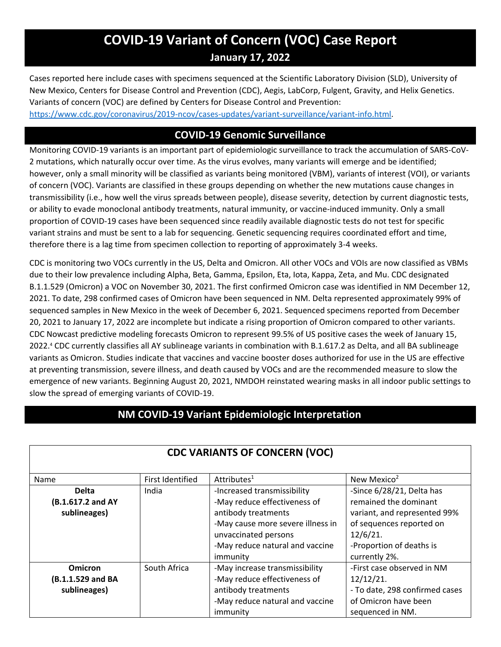## **COVID-19 Variant of Concern (VOC) Case Report January 17, 2022**

Cases reported here include cases with specimens sequenced at the Scientific Laboratory Division (SLD), University of New Mexico, Centers for Disease Control and Prevention (CDC), Aegis, LabCorp, Fulgent, Gravity, and Helix Genetics. Variants of concern (VOC) are defined by Centers for Disease Control and Prevention:

[https://www.cdc.gov/coronavirus/2019-ncov/cases-updates/variant-surveillance/variant-info.html.](https://www.cdc.gov/coronavirus/2019-ncov/cases-updates/variant-surveillance/variant-info.html)

### **COVID-19 Genomic Surveillance**

Monitoring COVID-19 variants is an important part of epidemiologic surveillance to track the accumulation of SARS-CoV-2 mutations, which naturally occur over time. As the virus evolves, many variants will emerge and be identified; however, only a small minority will be classified as variants being monitored (VBM), variants of interest (VOI), or variants of concern (VOC). Variants are classified in these groups depending on whether the new mutations cause changes in transmissibility (i.e., how well the virus spreads between people), disease severity, detection by current diagnostic tests, or ability to evade monoclonal antibody treatments, natural immunity, or vaccine-induced immunity. Only a small proportion of COVID-19 cases have been sequenced since readily available diagnostic tests do not test for specific variant strains and must be sent to a lab for sequencing. Genetic sequencing requires coordinated effort and time, therefore there is a lag time from specimen collection to reporting of approximately 3-4 weeks.

CDC is monitoring two VOCs currently in the US, Delta and Omicron. All other VOCs and VOIs are now classified as VBMs due to their low prevalence including Alpha, Beta, Gamma, Epsilon, Eta, Iota, Kappa, Zeta, and Mu. CDC designated B.1.1.529 (Omicron) a VOC on November 30, 2021. The first confirmed Omicron case was identified in NM December 12, 2021. To date, 298 confirmed cases of Omicron have been sequenced in NM. Delta represented approximately 99% of sequenced samples in New Mexico in the week of December 6, 2021. Sequenced specimens reported from December 20, 2021 to January 17, 2022 are incomplete but indicate a rising proportion of Omicron compared to other variants. CDC Nowcast predictive modeling forecasts Omicron to represent 99.5% of US positive cases the week of January 15, 2022. <sup>4</sup> CDC currently classifies all AY sublineage variants in combination with B.1.617.2 as Delta, and all BA sublineage variants as Omicron. Studies indicate that vaccines and vaccine booster doses authorized for use in the US are effective at preventing transmission, severe illness, and death caused by VOCs and are the recommended measure to slow the emergence of new variants. Beginning August 20, 2021, NMDOH reinstated wearing masks in all indoor public settings to slow the spread of emerging variants of COVID-19.

## **NM COVID-19 Variant Epidemiologic Interpretation**

| <b>CDC VARIANTS OF CONCERN (VOC)</b>                |                  |                                                                                                                                                                                                |                                                                                                                                                                            |  |  |  |
|-----------------------------------------------------|------------------|------------------------------------------------------------------------------------------------------------------------------------------------------------------------------------------------|----------------------------------------------------------------------------------------------------------------------------------------------------------------------------|--|--|--|
| Name                                                | First Identified | Attributes <sup>1</sup>                                                                                                                                                                        | New Mexico <sup>2</sup>                                                                                                                                                    |  |  |  |
| <b>Delta</b><br>(B.1.617.2 and AY<br>sublineages)   | India            | -Increased transmissibility<br>-May reduce effectiveness of<br>antibody treatments<br>-May cause more severe illness in<br>unvaccinated persons<br>-May reduce natural and vaccine<br>immunity | -Since 6/28/21, Delta has<br>remained the dominant<br>variant, and represented 99%<br>of sequences reported on<br>$12/6/21$ .<br>-Proportion of deaths is<br>currently 2%. |  |  |  |
| <b>Omicron</b><br>(B.1.1.529 and BA<br>sublineages) | South Africa     | -May increase transmissibility<br>-May reduce effectiveness of<br>antibody treatments<br>-May reduce natural and vaccine<br>immunity                                                           | -First case observed in NM<br>12/12/21.<br>- To date, 298 confirmed cases<br>of Omicron have been<br>sequenced in NM.                                                      |  |  |  |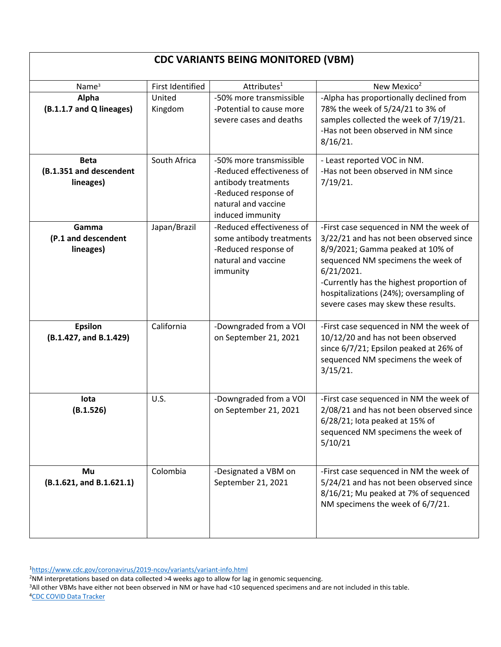## **CDC VARIANTS BEING MONITORED (VBM)**

| Name <sup>3</sup>                                   | <b>First Identified</b> | Attributes <sup>1</sup>                                                                                                                        | New Mexico <sup>2</sup>                                                                                                                                                                                                                                                                                   |
|-----------------------------------------------------|-------------------------|------------------------------------------------------------------------------------------------------------------------------------------------|-----------------------------------------------------------------------------------------------------------------------------------------------------------------------------------------------------------------------------------------------------------------------------------------------------------|
| Alpha<br>(B.1.1.7 and Q lineages)                   | United<br>Kingdom       | -50% more transmissible<br>-Potential to cause more<br>severe cases and deaths                                                                 | -Alpha has proportionally declined from<br>78% the week of 5/24/21 to 3% of<br>samples collected the week of 7/19/21.<br>-Has not been observed in NM since<br>$8/16/21$ .                                                                                                                                |
| <b>Beta</b><br>(B.1.351 and descendent<br>lineages) | South Africa            | -50% more transmissible<br>-Reduced effectiveness of<br>antibody treatments<br>-Reduced response of<br>natural and vaccine<br>induced immunity | - Least reported VOC in NM.<br>-Has not been observed in NM since<br>7/19/21.                                                                                                                                                                                                                             |
| Gamma<br>(P.1 and descendent<br>lineages)           | Japan/Brazil            | -Reduced effectiveness of<br>some antibody treatments<br>-Reduced response of<br>natural and vaccine<br>immunity                               | -First case sequenced in NM the week of<br>3/22/21 and has not been observed since<br>8/9/2021; Gamma peaked at 10% of<br>sequenced NM specimens the week of<br>6/21/2021.<br>-Currently has the highest proportion of<br>hospitalizations (24%); oversampling of<br>severe cases may skew these results. |
| <b>Epsilon</b><br>(B.1.427, and B.1.429)            | California              | -Downgraded from a VOI<br>on September 21, 2021                                                                                                | -First case sequenced in NM the week of<br>10/12/20 and has not been observed<br>since 6/7/21; Epsilon peaked at 26% of<br>sequenced NM specimens the week of<br>$3/15/21$ .                                                                                                                              |
| lota<br>(B.1.526)                                   | U.S.                    | -Downgraded from a VOI<br>on September 21, 2021                                                                                                | -First case sequenced in NM the week of<br>2/08/21 and has not been observed since<br>6/28/21; lota peaked at 15% of<br>sequenced NM specimens the week of<br>5/10/21                                                                                                                                     |
| Mu<br>(B.1.621, and B.1.621.1)                      | Colombia                | -Designated a VBM on<br>September 21, 2021                                                                                                     | -First case sequenced in NM the week of<br>5/24/21 and has not been observed since<br>8/16/21; Mu peaked at 7% of sequenced<br>NM specimens the week of 6/7/21.                                                                                                                                           |

<sup>1</sup><https://www.cdc.gov/coronavirus/2019-ncov/variants/variant-info.html>

<sup>2</sup>NM interpretations based on data collected >4 weeks ago to allow for lag in genomic sequencing.

<sup>3</sup>All other VBMs have either not been observed in NM or have had <10 sequenced specimens and are not included in this table. <sup>4</sup>[CDC COVID Data Tracker](https://covid.cdc.gov/covid-data-tracker/#variant-proportions)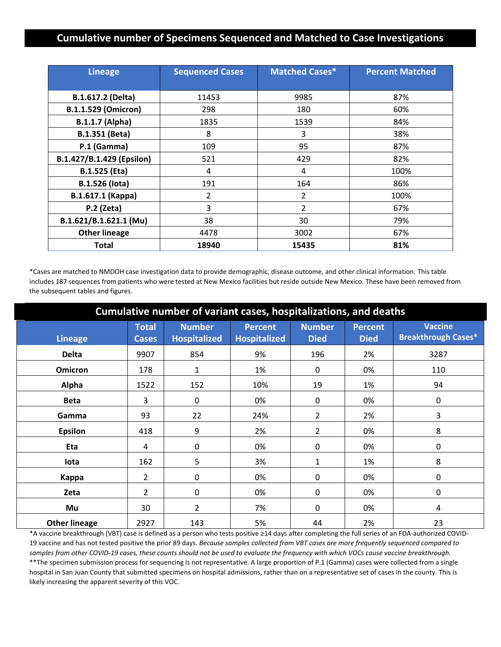#### **Cumulative number of Specimens Sequenced and Matched to Case Investigations**

| <b>Lineage</b>             | <b>Sequenced Cases</b> | <b>Matched Cases*</b> | <b>Percent Matched</b> |
|----------------------------|------------------------|-----------------------|------------------------|
|                            |                        |                       |                        |
| B.1.617.2 (Delta)          | 11453                  | 9985                  | 87%                    |
| <b>B.1.1.529 (Omicron)</b> | 298                    | 180                   | 60%                    |
| <b>B.1.1.7 (Alpha)</b>     | 1835                   | 1539                  | 84%                    |
| <b>B.1.351 (Beta)</b>      | 8                      | 3                     | 38%                    |
| P.1 (Gamma)                | 109                    | 95                    | 87%                    |
| B.1.427/B.1.429 (Epsilon)  | 521                    | 429                   | 82%                    |
| <b>B.1.525 (Eta)</b>       | 4                      | 4                     | 100%                   |
| <b>B.1.526 (lota)</b>      | 191                    | 164                   | 86%                    |
| B.1.617.1 (Kappa)          | $\overline{2}$         | 2                     | 100%                   |
| $P.2$ (Zeta)               | 3                      | $\overline{2}$        | 67%                    |
| B.1.621/B.1.621.1 (Mu)     | 38                     | 30                    | 79%                    |
| <b>Other lineage</b>       | 4478                   | 3002                  | 67%                    |
| <b>Total</b>               | 18940                  | 15435                 | 81%                    |

\*Cases are matched to NMDOH case investigation data to provide demographic, disease outcome, and other clinical information. This table includes 187 sequences from patients who were tested at New Mexico facilities but reside outside New Mexico. These have been removed from the subsequent tables and figures.

| Cumulative number of variant cases, hospitalizations, and deaths |                              |                                      |                                       |                              |                               |                                              |  |
|------------------------------------------------------------------|------------------------------|--------------------------------------|---------------------------------------|------------------------------|-------------------------------|----------------------------------------------|--|
| <b>Lineage</b>                                                   | <b>Total</b><br><b>Cases</b> | <b>Number</b><br><b>Hospitalized</b> | <b>Percent</b><br><b>Hospitalized</b> | <b>Number</b><br><b>Died</b> | <b>Percent</b><br><b>Died</b> | <b>Vaccine</b><br><b>Breakthrough Cases*</b> |  |
| <b>Delta</b>                                                     | 9907                         | 854                                  | 9%                                    | 196                          | 2%                            | 3287                                         |  |
| <b>Omicron</b>                                                   | 178                          | $\mathbf{1}$                         | 1%                                    | 0                            | 0%                            | 110                                          |  |
| Alpha                                                            | 1522                         | 152                                  | 10%                                   | 19                           | 1%                            | 94                                           |  |
| <b>Beta</b>                                                      | 3                            | 0                                    | 0%                                    | 0                            | 0%                            | 0                                            |  |
| Gamma                                                            | 93                           | 22                                   | 24%                                   | $\overline{2}$               | 2%                            | 3                                            |  |
| <b>Epsilon</b>                                                   | 418                          | 9                                    | 2%                                    | $\overline{2}$               | 0%                            | 8                                            |  |
| Eta                                                              | 4                            | 0                                    | 0%                                    | 0                            | 0%                            | 0                                            |  |
| lota                                                             | 162                          | 5                                    | 3%                                    | 1                            | 1%                            | 8                                            |  |
| Kappa                                                            | 2                            | $\mathbf 0$                          | 0%                                    | 0                            | 0%                            | 0                                            |  |
| Zeta                                                             | $\overline{2}$               | 0                                    | 0%                                    | 0                            | 0%                            | 0                                            |  |
| Mu                                                               | 30                           | $\overline{2}$                       | 7%                                    | 0                            | 0%                            | 4                                            |  |
| <b>Other lineage</b>                                             | 2927                         | 143                                  | 5%                                    | 44                           | 2%                            | 23                                           |  |

\*A vaccine breakthrough (VBT) case is defined as a person who tests positive ≥14 days after completing the full series of an FDA-authorized COVID-19 vaccine and has not tested positive the prior 89 days. *Because samples collected from VBT cases are more frequently sequenced compared to samples from other COVID-19 cases, these counts should not be used to evaluate the frequency with which VOCs cause vaccine breakthrough.* \*\*The specimen submission process for sequencing is not representative. A large proportion of P.1 (Gamma) cases were collected from a single hospital in San Juan County that submitted specimens on hospital admissions, rather than on a representative set of cases in the county. This is likely increasing the apparent severity of this VOC.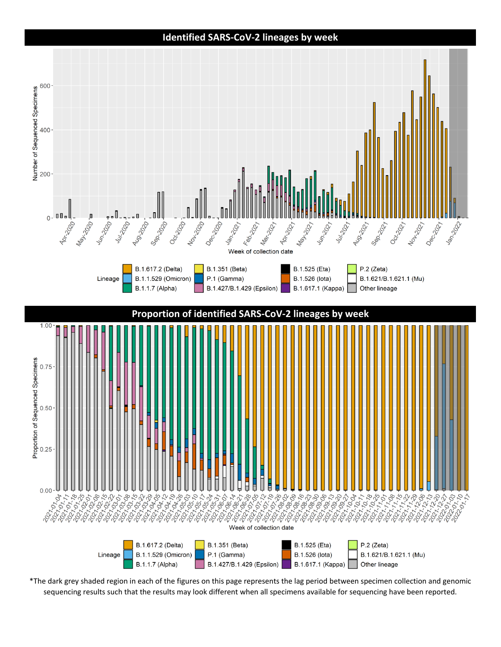#### **Identified SARS-CoV-2 lineages by week**



\*The dark grey shaded region in each of the figures on this page represents the lag period between specimen collection and genomic sequencing results such that the results may look different when all specimens available for sequencing have been reported.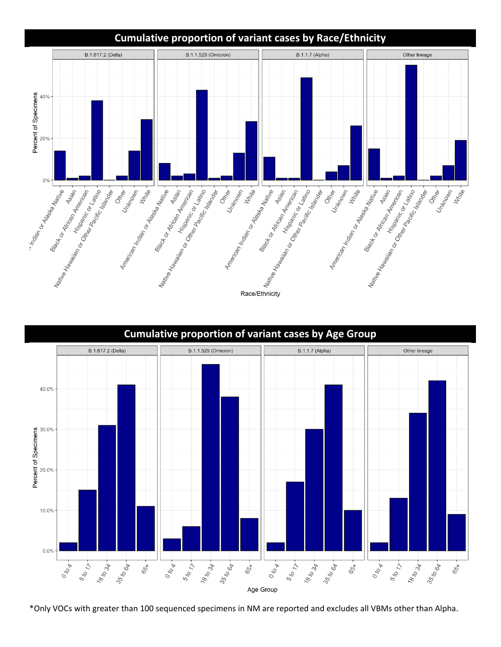



\*Only VOCs with greater than 100 sequenced specimens in NM are reported and excludes all VBMs other than Alpha.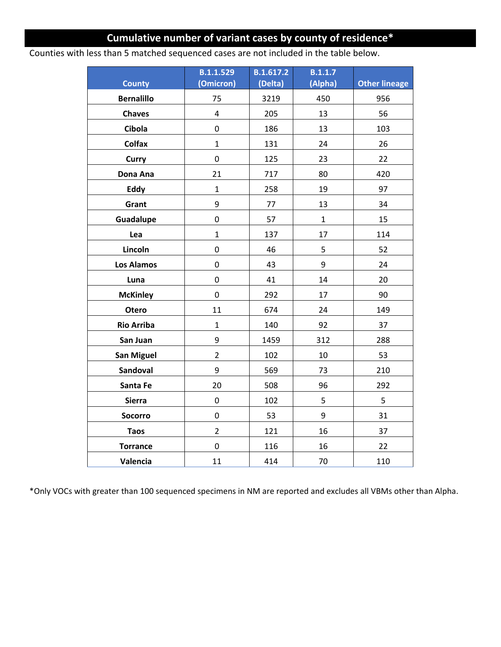## **Cumulative number of variant cases by county of residence\***

Counties with less than 5 matched sequenced cases are not included in the table below.

| <b>County</b>     | <b>B.1.1.529</b><br>(Omicron) | B.1.617.2<br>(Delta) | <b>B.1.1.7</b><br>(Alpha) | <b>Other lineage</b> |
|-------------------|-------------------------------|----------------------|---------------------------|----------------------|
| <b>Bernalillo</b> | 75                            | 3219                 | 450                       | 956                  |
| <b>Chaves</b>     | 4                             | 205                  | 13                        | 56                   |
| Cibola            | 0                             | 186                  | 13                        | 103                  |
| <b>Colfax</b>     | $\mathbf{1}$                  | 131                  | 24                        | 26                   |
| Curry             | 0                             | 125                  | 23                        | 22                   |
| Dona Ana          | 21                            | 717                  | 80                        | 420                  |
| Eddy              | $\mathbf{1}$                  | 258                  | 19                        | 97                   |
| Grant             | 9                             | 77                   | 13                        | 34                   |
| Guadalupe         | 0                             | 57                   | $\mathbf{1}$              | 15                   |
| Lea               | $\mathbf{1}$                  | 137                  | 17                        | 114                  |
| Lincoln           | 0                             | 46                   | 5                         | 52                   |
| <b>Los Alamos</b> | 0                             | 43                   | 9                         | 24                   |
| Luna              | 0                             | 41                   | 14                        | 20                   |
| <b>McKinley</b>   | 0                             | 292                  | 17                        | 90                   |
| Otero             | 11                            | 674                  | 24                        | 149                  |
| <b>Rio Arriba</b> | $\mathbf{1}$                  | 140                  | 92                        | 37                   |
| San Juan          | 9                             | 1459                 | 312                       | 288                  |
| <b>San Miguel</b> | $\overline{2}$                | 102                  | 10                        | 53                   |
| Sandoval          | 9                             | 569                  | 73                        | 210                  |
| Santa Fe          | 20                            | 508                  | 96                        | 292                  |
| <b>Sierra</b>     | 0                             | 102                  | 5                         | 5                    |
| <b>Socorro</b>    | 0                             | 53                   | 9                         | 31                   |
| <b>Taos</b>       | $\overline{2}$                | 121                  | 16                        | 37                   |
| <b>Torrance</b>   | 0                             | 116                  | 16                        | 22                   |
| Valencia          | 11                            | 414                  | 70                        | 110                  |

\*Only VOCs with greater than 100 sequenced specimens in NM are reported and excludes all VBMs other than Alpha.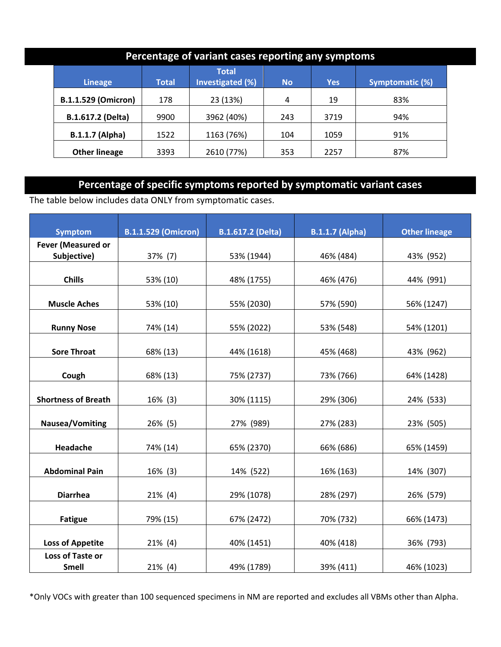| Percentage of variant cases reporting any symptoms |              |                                  |           |            |                 |  |  |
|----------------------------------------------------|--------------|----------------------------------|-----------|------------|-----------------|--|--|
| <b>Lineage</b>                                     | <b>Total</b> | <b>Total</b><br>Investigated (%) | <b>No</b> | <b>Yes</b> | Symptomatic (%) |  |  |
| <b>B.1.1.529 (Omicron)</b>                         | 178          | 23 (13%)                         | 4         | 19         | 83%             |  |  |
| B.1.617.2 (Delta)                                  | 9900         | 3962 (40%)                       | 243       | 3719       | 94%             |  |  |
| <b>B.1.1.7 (Alpha)</b>                             | 1522         | 1163 (76%)                       | 104       | 1059       | 91%             |  |  |
| <b>Other lineage</b>                               | 3393         | 2610 (77%)                       | 353       | 2257       | 87%             |  |  |

## **Percentage of specific symptoms reported by symptomatic variant cases**

The table below includes data ONLY from symptomatic cases.

| <b>Symptom</b>             | <b>B.1.1.529 (Omicron)</b> | <b>B.1.617.2 (Delta)</b> | <b>B.1.1.7 (Alpha)</b> | <b>Other lineage</b> |
|----------------------------|----------------------------|--------------------------|------------------------|----------------------|
| Fever (Measured or         |                            |                          |                        |                      |
| Subjective)                | 37% (7)                    | 53% (1944)               | 46% (484)              | 43% (952)            |
|                            |                            |                          |                        |                      |
| <b>Chills</b>              | 53% (10)                   | 48% (1755)               | 46% (476)              | 44% (991)            |
|                            |                            |                          |                        |                      |
| <b>Muscle Aches</b>        | 53% (10)                   | 55% (2030)               | 57% (590)              | 56% (1247)           |
|                            |                            |                          |                        |                      |
| <b>Runny Nose</b>          | 74% (14)                   | 55% (2022)               | 53% (548)              | 54% (1201)           |
|                            |                            |                          |                        |                      |
| <b>Sore Throat</b>         | 68% (13)                   | 44% (1618)               | 45% (468)              | 43% (962)            |
|                            |                            |                          |                        |                      |
| Cough                      | 68% (13)                   | 75% (2737)               | 73% (766)              | 64% (1428)           |
| <b>Shortness of Breath</b> | 16% (3)                    | 30% (1115)               | 29% (306)              | 24% (533)            |
|                            |                            |                          |                        |                      |
| <b>Nausea/Vomiting</b>     | 26% (5)                    | 27% (989)                | 27% (283)              | 23% (505)            |
|                            |                            |                          |                        |                      |
| Headache                   | 74% (14)                   | 65% (2370)               | 66% (686)              | 65% (1459)           |
|                            |                            |                          |                        |                      |
| <b>Abdominal Pain</b>      | 16% (3)                    | 14% (522)                | 16% (163)              | 14% (307)            |
|                            |                            |                          |                        |                      |
| <b>Diarrhea</b>            | $21\%$ (4)                 | 29% (1078)               | 28% (297)              | 26% (579)            |
|                            |                            |                          |                        |                      |
| <b>Fatigue</b>             | 79% (15)                   | 67% (2472)               | 70% (732)              | 66% (1473)           |
|                            |                            |                          |                        |                      |
| <b>Loss of Appetite</b>    | $21\%$ (4)                 | 40% (1451)               | 40% (418)              | 36% (793)            |
| Loss of Taste or           |                            |                          |                        |                      |
| <b>Smell</b>               | 21% (4)                    | 49% (1789)               | 39% (411)              | 46% (1023)           |

\*Only VOCs with greater than 100 sequenced specimens in NM are reported and excludes all VBMs other than Alpha.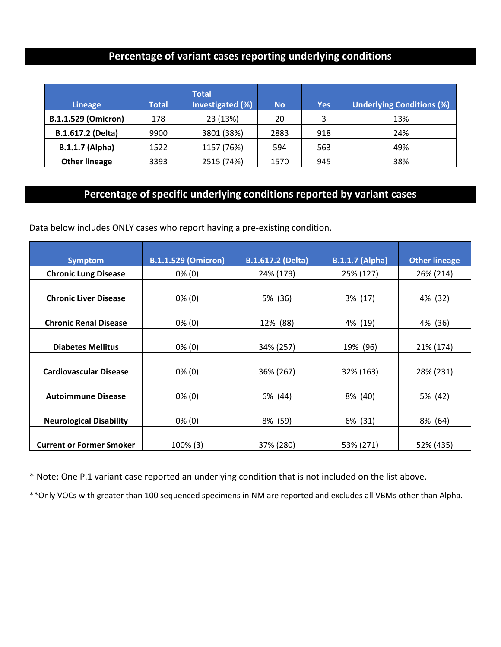## **Percentage of variant cases reporting underlying conditions**

| <b>Lineage</b>             | <b>Total</b> | <b>Total</b><br>Investigated (%) | <b>No</b> | Yes | <b>Underlying Conditions (%)</b> |
|----------------------------|--------------|----------------------------------|-----------|-----|----------------------------------|
| <b>B.1.1.529 (Omicron)</b> | 178          | 23 (13%)                         | 20        | 3   | 13%                              |
| B.1.617.2 (Delta)          | 9900         | 3801 (38%)                       | 2883      | 918 | 24%                              |
| <b>B.1.1.7 (Alpha)</b>     | 1522         | 1157 (76%)                       | 594       | 563 | 49%                              |
| <b>Other lineage</b>       | 3393         | 2515 (74%)                       | 1570      | 945 | 38%                              |

# **Percentage of specific underlying conditions reported by variant cases**

Data below includes ONLY cases who report having a pre-existing condition.

| <b>Symptom</b>                  | <b>B.1.1.529 (Omicron)</b> | <b>B.1.617.2 (Delta)</b> | <b>B.1.1.7 (Alpha)</b> | <b>Other lineage</b> |
|---------------------------------|----------------------------|--------------------------|------------------------|----------------------|
| <b>Chronic Lung Disease</b>     | $0\%$ (0)                  | 24% (179)                | 25% (127)              | 26% (214)            |
|                                 |                            |                          |                        |                      |
| <b>Chronic Liver Disease</b>    | $0\%$ (0)                  | 5% (36)                  | 3% (17)                | 4% (32)              |
|                                 |                            |                          |                        |                      |
| <b>Chronic Renal Disease</b>    | $0\%$ (0)                  | 12% (88)                 | 4% (19)                | 4% (36)              |
|                                 |                            |                          |                        |                      |
| <b>Diabetes Mellitus</b>        | $0\%$ (0)                  | 34% (257)                | 19% (96)               | 21% (174)            |
|                                 |                            |                          |                        |                      |
| <b>Cardiovascular Disease</b>   | $0\%$ (0)                  | 36% (267)                | 32% (163)              | 28% (231)            |
|                                 |                            |                          |                        |                      |
| <b>Autoimmune Disease</b>       | $0\%$ (0)                  | 6% (44)                  | 8% (40)                | 5% (42)              |
|                                 |                            |                          |                        |                      |
| <b>Neurological Disability</b>  | $0\%$ (0)                  | 8% (59)                  | 6% (31)                | 8% (64)              |
|                                 |                            |                          |                        |                      |
| <b>Current or Former Smoker</b> | 100% (3)                   | 37% (280)                | 53% (271)              | 52% (435)            |

\* Note: One P.1 variant case reported an underlying condition that is not included on the list above.

\*\*Only VOCs with greater than 100 sequenced specimens in NM are reported and excludes all VBMs other than Alpha.